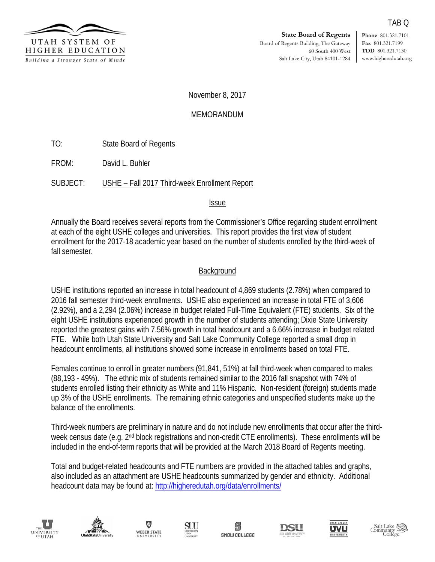

**Phone** 801.321.7101 **Fax** 801.321.7199 **TDD** 801.321.7130 www.higheredutah.org

TAB Q

November 8, 2017

## MEMORANDUM

TO: State Board of Regents

FROM: David L. Buhler

SUBJECT: USHE – Fall 2017 Third-week Enrollment Report

#### Issue

Annually the Board receives several reports from the Commissioner's Office regarding student enrollment at each of the eight USHE colleges and universities. This report provides the first view of student enrollment for the 2017-18 academic year based on the number of students enrolled by the third-week of fall semester.

## **Background**

USHE institutions reported an increase in total headcount of 4,869 students (2.78%) when compared to 2016 fall semester third-week enrollments. USHE also experienced an increase in total FTE of 3,606 (2.92%), and a 2,294 (2.06%) increase in budget related Full-Time Equivalent (FTE) students. Six of the eight USHE institutions experienced growth in the number of students attending; Dixie State University reported the greatest gains with 7.56% growth in total headcount and a 6.66% increase in budget related FTE. While both Utah State University and Salt Lake Community College reported a small drop in headcount enrollments, all institutions showed some increase in enrollments based on total FTE.

Females continue to enroll in greater numbers (91,841, 51%) at fall third-week when compared to males (88,193 - 49%). The ethnic mix of students remained similar to the 2016 fall snapshot with 74% of students enrolled listing their ethnicity as White and 11% Hispanic. Non-resident (foreign) students made up 3% of the USHE enrollments. The remaining ethnic categories and unspecified students make up the balance of the enrollments.

Third-week numbers are preliminary in nature and do not include new enrollments that occur after the thirdweek census date (e.g. 2<sup>nd</sup> block registrations and non-credit CTE enrollments). These enrollments will be included in the end-of-term reports that will be provided at the March 2018 Board of Regents meeting.

Total and budget-related headcounts and FTE numbers are provided in the attached tables and graphs, also included as an attachment are USHE headcounts summarized by gender and ethnicity. Additional headcount data may be found at:<http://higheredutah.org/data/enrollments/>















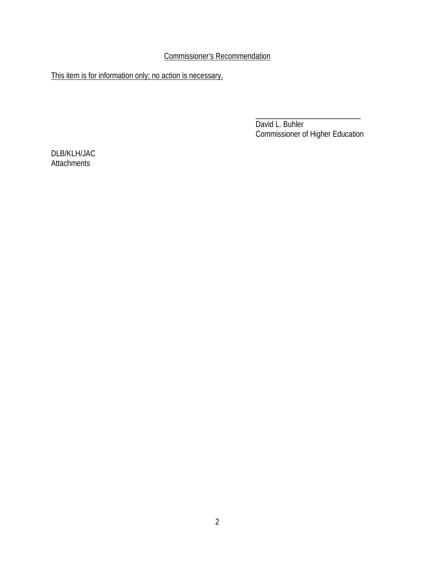Commissioner's Recommendation

This item is for information only; no action is necessary.

\_\_\_\_\_\_\_\_\_\_\_\_\_\_\_\_\_\_\_\_\_\_\_\_\_\_\_ David L. Buhler Commissioner of Higher Education

DLB/KLH/JAC **Attachments**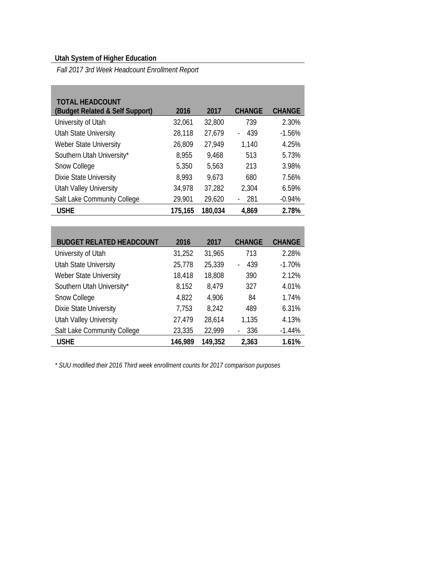# **Utah System of Higher Education**

**Contract Contract** 

*Fall 2017 3rd Week Headcount Enrollment Report* 

| <b>TOTAL HEADCOUNT</b><br>(Budget Related & Self Support) | 2016    | 2017    | <b>CHANGE</b> | <b>CHANGE</b> |
|-----------------------------------------------------------|---------|---------|---------------|---------------|
| University of Utah                                        | 32,061  | 32,800  | 739           | 2.30%         |
| <b>Utah State University</b>                              | 28,118  | 27,679  | 439           | $-1.56%$      |
| Weber State University                                    | 26,809  | 27,949  | 1,140         | 4.25%         |
| Southern Utah University*                                 | 8,955   | 9,468   | 513           | 5.73%         |
| Snow College                                              | 5,350   | 5,563   | 213           | 3.98%         |
| Dixie State University                                    | 8,993   | 9,673   | 680           | 7.56%         |
| <b>Utah Valley University</b>                             | 34,978  | 37,282  | 2,304         | 6.59%         |
| Salt Lake Community College                               | 29,901  | 29,620  | 281           | $-0.94%$      |
| <b>USHE</b>                                               | 175,165 | 180,034 | 4,869         | 2.78%         |

| <b>BUDGET RELATED HEADCOUNT</b> | 2016    | 2017    | <b>CHANGE</b>         | <b>CHANGE</b> |
|---------------------------------|---------|---------|-----------------------|---------------|
| University of Utah              | 31,252  | 31,965  | 713                   | 2.28%         |
| <b>Utah State University</b>    | 25,778  | 25,339  | 439<br>$\overline{a}$ | $-1.70%$      |
| Weber State University          | 18,418  | 18,808  | 390                   | 2.12%         |
| Southern Utah University*       | 8,152   | 8,479   | 327                   | 4.01%         |
| Snow College                    | 4,822   | 4,906   | 84                    | 1.74%         |
| Dixie State University          | 7,753   | 8,242   | 489                   | 6.31%         |
| <b>Utah Valley University</b>   | 27,479  | 28,614  | 1,135                 | 4.13%         |
| Salt Lake Community College     | 23,335  | 22,999  | 336                   | $-1.44%$      |
| <b>USHE</b>                     | 146,989 | 149,352 | 2,363                 | 1.61%         |

*\* SUU modified their 2016 Third week enrollment counts for 2017 comparison purposes*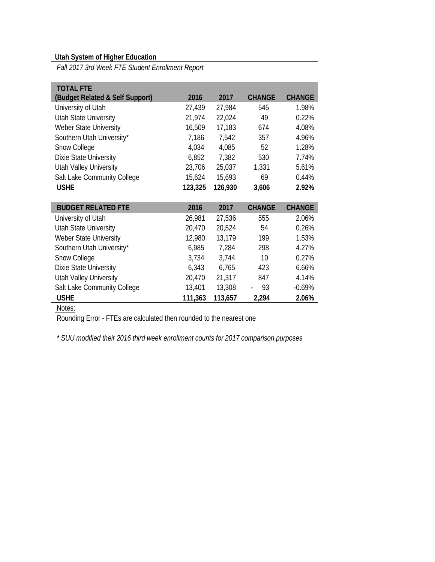## **Utah System of Higher Education**

*Fall 2017 3rd Week FTE Student Enrollment Report* 

| <b>TOTAL FTE</b>                |         |         |               |               |
|---------------------------------|---------|---------|---------------|---------------|
| (Budget Related & Self Support) | 2016    | 2017    | <b>CHANGE</b> | <b>CHANGE</b> |
| University of Utah              | 27,439  | 27,984  | 545           | 1.98%         |
| <b>Utah State University</b>    | 21,974  | 22,024  | 49            | 0.22%         |
| Weber State University          | 16,509  | 17,183  | 674           | 4.08%         |
| Southern Utah University*       | 7,186   | 7,542   | 357           | 4.96%         |
| Snow College                    | 4,034   | 4,085   | 52            | 1.28%         |
| Dixie State University          | 6,852   | 7,382   | 530           | 7.74%         |
| <b>Utah Valley University</b>   | 23,706  | 25,037  | 1,331         | 5.61%         |
| Salt Lake Community College     | 15,624  | 15,693  | 69            | 0.44%         |
| <b>USHE</b>                     | 123,325 | 126,930 | 3,606         | 2.92%         |

| <b>BUDGET RELATED FTE</b>     | 2016    | 2017    | <b>CHANGE</b> | <b>CHANGE</b> |
|-------------------------------|---------|---------|---------------|---------------|
| University of Utah            | 26,981  | 27,536  | 555           | 2.06%         |
| <b>Utah State University</b>  | 20,470  | 20,524  | 54            | 0.26%         |
| Weber State University        | 12,980  | 13,179  | 199           | 1.53%         |
| Southern Utah University*     | 6,985   | 7,284   | 298           | 4.27%         |
| Snow College                  | 3,734   | 3,744   | 10            | 0.27%         |
| <b>Dixie State University</b> | 6,343   | 6,765   | 423           | 6.66%         |
| <b>Utah Valley University</b> | 20,470  | 21,317  | 847           | 4.14%         |
| Salt Lake Community College   | 13,401  | 13,308  | 93            | $-0.69%$      |
| <b>USHE</b>                   | 111,363 | 113,657 | 2,294         | 2.06%         |

Notes:

Rounding Error - FTEs are calculated then rounded to the nearest one

*\* SUU modified their 2016 third week enrollment counts for 2017 comparison purposes*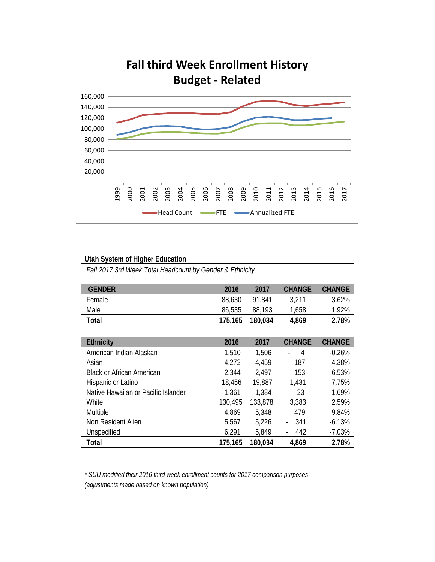

#### **Utah System of Higher Education**

*Fall 2017 3rd Week Total Headcount by Gender & Ethnicity* 

| <b>GENDER</b>                       | 2016    | 2017    | <b>CHANGE</b>  | <b>CHANGE</b> |
|-------------------------------------|---------|---------|----------------|---------------|
| Female                              | 88,630  | 91,841  | 3,211          | 3.62%         |
| Male                                | 86,535  | 88,193  | 1,658          | 1.92%         |
| Total                               | 175,165 | 180,034 | 4,869          | 2.78%         |
|                                     |         |         |                |               |
| <b>Ethnicity</b>                    | 2016    | 2017    | <b>CHANGE</b>  | <b>CHANGE</b> |
| American Indian Alaskan             | 1,510   | 1,506   | $\overline{4}$ | $-0.26%$      |
| Asian                               | 4,272   | 4,459   | 187            | 4.38%         |
| <b>Black or African American</b>    | 2,344   | 2,497   | 153            | 6.53%         |
| Hispanic or Latino                  | 18,456  | 19,887  | 1,431          | 7.75%         |
| Native Hawaiian or Pacific Islander | 1,361   | 1,384   | 23             | 1.69%         |
| White                               | 130,495 | 133,878 | 3,383          | 2.59%         |
| Multiple                            | 4,869   | 5,348   | 479            | 9.84%         |
| Non Resident Alien                  | 5,567   | 5,226   | 341            | $-6.13%$      |
| Unspecified                         | 6,291   | 5,849   | 442            | $-7.03%$      |
| Total                               | 175,165 | 180,034 | 4,869          | 2.78%         |

*\* SUU modified their 2016 third week enrollment counts for 2017 comparison purposes (adjustments made based on known population)*